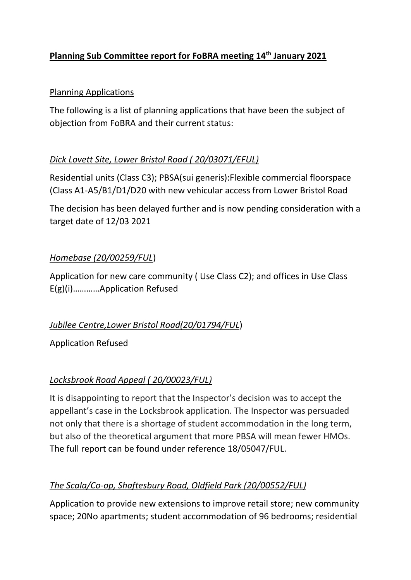# **Planning Sub Committee report for FoBRA meeting 14th January 2021**

### Planning Applications

The following is a list of planning applications that have been the subject of objection from FoBRA and their current status:

### *Dick Lovett Site, Lower Bristol Road ( 20/03071/EFUL)*

Residential units (Class C3); PBSA(sui generis):Flexible commercial floorspace (Class A1-A5/B1/D1/D20 with new vehicular access from Lower Bristol Road

The decision has been delayed further and is now pending consideration with a target date of 12/03 2021

### *Homebase (20/00259/FUL*)

Application for new care community ( Use Class C2); and offices in Use Class E(g)(i)…………Application Refused

### *Jubilee Centre,Lower Bristol Road(20/01794/FUL*)

Application Refused

### *Locksbrook Road Appeal ( 20/00023/FUL)*

It is disappointing to report that the Inspector's decision was to accept the appellant's case in the Locksbrook application. The Inspector was persuaded not only that there is a shortage of student accommodation in the long term, but also of the theoretical argument that more PBSA will mean fewer HMOs. The full report can be found under reference 18/05047/FUL.

## *The Scala/Co-op, Shaftesbury Road, Oldfield Park (20/00552/FUL)*

Application to provide new extensions to improve retail store; new community space; 20No apartments; student accommodation of 96 bedrooms; residential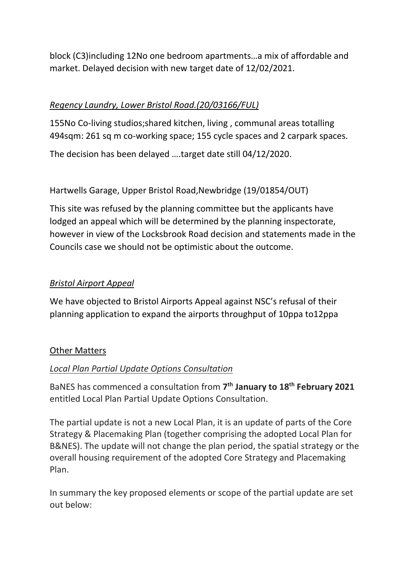block (C3)including 12No one bedroom apartments…a mix of affordable and market. Delayed decision with new target date of 12/02/2021.

## *Regency Laundry, Lower Bristol Road.(20/03166/FUL)*

155No Co-living studios;shared kitchen, living , communal areas totalling 494sqm: 261 sq m co-working space; 155 cycle spaces and 2 carpark spaces.

The decision has been delayed ….target date still 04/12/2020.

### Hartwells Garage, Upper Bristol Road,Newbridge (19/01854/OUT)

This site was refused by the planning committee but the applicants have lodged an appeal which will be determined by the planning inspectorate, however in view of the Locksbrook Road decision and statements made in the Councils case we should not be optimistic about the outcome.

#### *Bristol Airport Appeal*

We have objected to Bristol Airports Appeal against NSC's refusal of their planning application to expand the airports throughput of 10ppa to12ppa

#### Other Matters

### *Local Plan Partial Update Options Consultation*

BaNES has commenced a consultation from **7 th January to 18th February 2021** entitled Local Plan Partial Update Options Consultation.

The partial update is not a new Local Plan, it is an update of parts of the Core Strategy & Placemaking Plan (together comprising the adopted Local Plan for B&NES). The update will not change the plan period, the spatial strategy or the overall housing requirement of the adopted Core Strategy and Placemaking Plan.

In summary the key proposed elements or scope of the partial update are set out below: